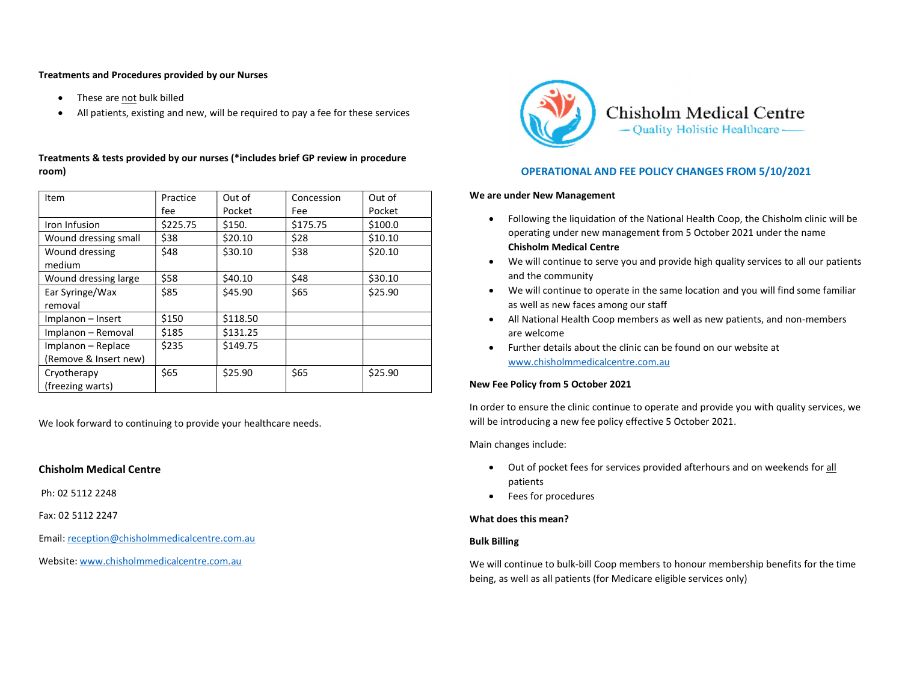#### Treatments and Procedures provided by our Nurses

- These are not bulk billed
- All patients, existing and new, will be required to pay a fee for these services

| Treatments & tests provided by our nurses (*includes brief GP review in procedure |  |
|-----------------------------------------------------------------------------------|--|
| room)                                                                             |  |

| Item                  | Practice | Out of   | Concession | Out of  | We are under New Mana           |
|-----------------------|----------|----------|------------|---------|---------------------------------|
|                       | fee      | Pocket   | Fee        | Pocket  |                                 |
| Iron Infusion         | \$225.75 | \$150.   | \$175.75   | \$100.0 | Following the liqu<br>$\bullet$ |
| Wound dressing small  | \$38     | \$20.10  | \$28       | \$10.10 | operating under                 |
| Wound dressing        | \$48     | \$30.10  | \$38       | \$20.10 | <b>Chisholm Medica</b>          |
| medium                |          |          |            |         | We will continue<br>$\bullet$   |
| Wound dressing large  | \$58     | \$40.10  | \$48       | \$30.10 | and the commun                  |
| Ear Syringe/Wax       | \$85     | \$45.90  | \$65       | \$25.90 | We will continue<br>$\bullet$   |
| removal               |          |          |            |         | as well as new fa               |
| Implanon - Insert     | \$150    | \$118.50 |            |         | All National Heal<br>$\bullet$  |
| Implanon - Removal    | \$185    | \$131.25 |            |         | are welcome                     |
| Implanon - Replace    | \$235    | \$149.75 |            |         | Further details al<br>$\bullet$ |
| (Remove & Insert new) |          |          |            |         | www.chisholmm                   |
| Cryotherapy           | \$65     | \$25.90  | \$65       | \$25.90 |                                 |
| (freezing warts)      |          |          |            |         | New Fee Policy from 5 Oo        |

We look forward to continuing to provide your healthcare needs.

## Chisholm Medical Centre

Ph: 02 5112 2248

Fax: 02 5112 2247

Email: reception@chisholmmedicalcentre.com.au

Website: www.chisholmmedicalcentre.com.au



# OPERATIONAL AND FEE POLICY CHANGES FROM 5/10/2021

#### We are under New Management

- Following the liquidation of the National Health Coop, the Chisholm clinic will be operating under new management from 5 October 2021 under the name Chisholm Medical Centre
- We will continue to serve you and provide high quality services to all our patients and the community
- We will continue to operate in the same location and you will find some familiar as well as new faces among our staff
- All National Health Coop members as well as new patients, and non-members are welcome
- Further details about the clinic can be found on our website at www.chisholmmedicalcentre.com.au

## New Fee Policy from 5 October 2021

In order to ensure the clinic continue to operate and provide you with quality services, we will be introducing a new fee policy effective 5 October 2021.

Main changes include:

- Out of pocket fees for services provided afterhours and on weekends for all patients
- Fees for procedures

## What does this mean?

## Bulk Billing

We will continue to bulk-bill Coop members to honour membership benefits for the time being, as well as all patients (for Medicare eligible services only)